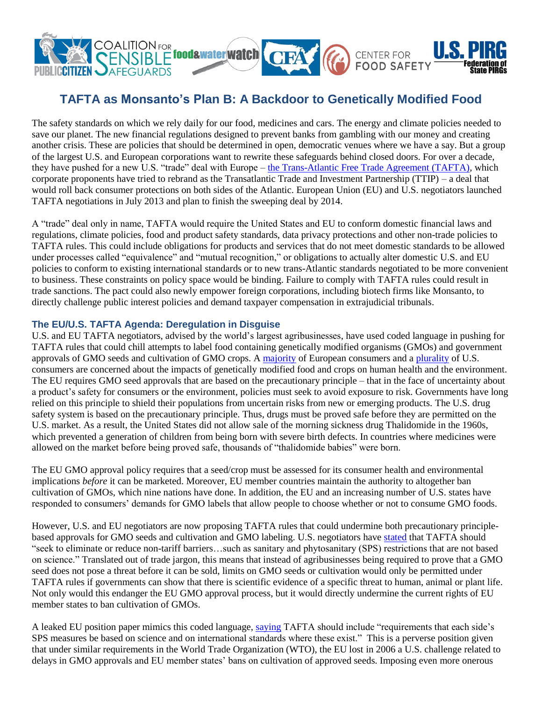

# **TAFTA as Monsanto's Plan B: A Backdoor to Genetically Modified Food**

The safety standards on which we rely daily for our food, medicines and cars. The energy and climate policies needed to save our planet. The new financial regulations designed to prevent banks from gambling with our money and creating another crisis. These are policies that should be determined in open, democratic venues where we have a say. But a group of the largest U.S. and European corporations want to rewrite these safeguards behind closed doors. For over a decade, they have pushed for a new U.S. "trade" deal with Europe – [the Trans-Atlantic Free Trade Agreement \(TAFTA\),](http://www.citizen.org/tafta) which corporate proponents have tried to rebrand as the Transatlantic Trade and Investment Partnership (TTIP) – a deal that would roll back consumer protections on both sides of the Atlantic. European Union (EU) and U.S. negotiators launched TAFTA negotiations in July 2013 and plan to finish the sweeping deal by 2014.

A "trade" deal only in name, TAFTA would require the United States and EU to conform domestic financial laws and regulations, climate policies, food and product safety standards, data privacy protections and other non-trade policies to TAFTA rules. This could include obligations for products and services that do not meet domestic standards to be allowed under processes called "equivalence" and "mutual recognition," or obligations to actually alter domestic U.S. and EU policies to conform to existing international standards or to new trans-Atlantic standards negotiated to be more convenient to business. These constraints on policy space would be binding. Failure to comply with TAFTA rules could result in trade sanctions. The pact could also newly empower foreign corporations, including biotech firms like Monsanto, to directly challenge public interest policies and demand taxpayer compensation in extrajudicial tribunals.

### **The EU/U.S. TAFTA Agenda: Deregulation in Disguise**

U.S. and EU TAFTA negotiators, advised by the world's largest agribusinesses, have used coded language in pushing for TAFTA rules that could chill attempts to label food containing genetically modified organisms (GMOs) and government approvals of GMO seeds and cultivation of GMO crops. A [majority](http://ec.europa.eu/public_opinion/archives/ebs/ebs_341_en.pdf) of European consumers and a [plurality](http://big.assets.huffingtonpost.com/toplinesbgmo304.pdf) of U.S. consumers are concerned about the impacts of genetically modified food and crops on human health and the environment. The EU requires GMO seed approvals that are based on the precautionary principle – that in the face of uncertainty about a product's safety for consumers or the environment, policies must seek to avoid exposure to risk. Governments have long relied on this principle to shield their populations from uncertain risks from new or emerging products. The U.S. drug safety system is based on the precautionary principle. Thus, drugs must be proved safe before they are permitted on the U.S. market. As a result, the United States did not allow sale of the morning sickness drug Thalidomide in the 1960s, which prevented a generation of children from being born with severe birth defects. In countries where medicines were allowed on the market before being proved safe, thousands of "thalidomide babies" were born.

The EU GMO approval policy requires that a seed/crop must be assessed for its consumer health and environmental implications *before* it can be marketed. Moreover, EU member countries maintain the authority to altogether ban cultivation of GMOs, which nine nations have done. In addition, the EU and an increasing number of U.S. states have responded to consumers' demands for GMO labels that allow people to choose whether or not to consume GMO foods.

However, U.S. and EU negotiators are now proposing TAFTA rules that could undermine both precautionary principlebased approvals for GMO seeds and cultivation and GMO labeling. U.S. negotiators have [stated](http://www.ustr.gov/sites/default/files/03202013%20TTIP%20Notification%20Letter.PDF) that TAFTA should "seek to eliminate or reduce non-tariff barriers…such as sanitary and phytosanitary (SPS) restrictions that are not based on science." Translated out of trade jargon, this means that instead of agribusinesses being required to prove that a GMO seed does not pose a threat before it can be sold, limits on GMO seeds or cultivation would only be permitted under TAFTA rules if governments can show that there is scientific evidence of a specific threat to human, animal or plant life. Not only would this endanger the EU GMO approval process, but it would directly undermine the current rights of EU member states to ban cultivation of GMOs.

A leaked EU position paper mimics this coded language, [saying](http://www.iatp.org/files/TPC-TTIP-non-Papers-for-1st-Round-Negotiatons-June20-2013.pdf) TAFTA should include "requirements that each side's SPS measures be based on science and on international standards where these exist." This is a perverse position given that under similar requirements in the World Trade Organization (WTO), the EU lost in 2006 a U.S. challenge related to delays in GMO approvals and EU member states' bans on cultivation of approved seeds. Imposing even more onerous